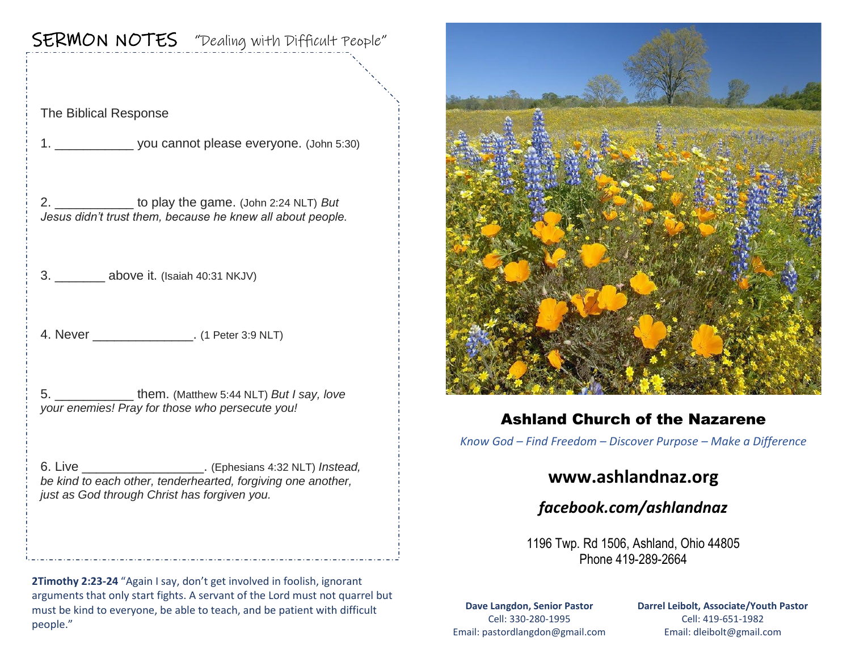# SERMON NOTES "Dealing with Difficult People"

The Biblical Response

1. \_\_\_\_\_\_\_\_\_\_\_ you cannot please everyone. (John 5:30)

2. \_\_\_\_\_\_\_\_\_\_\_ to play the game. (John 2:24 NLT) *But Jesus didn't trust them, because he knew all about people.*

3. **above it.** (Isaiah 40:31 NKJV)

4. Never (1 Peter 3:9 NLT)

5. \_\_\_\_\_\_\_\_\_\_\_ them. (Matthew 5:44 NLT) *But I say, love your enemies! Pray for those who persecute you!*

6. Live \_\_\_\_\_\_\_\_\_\_\_\_\_\_\_\_\_. (Ephesians 4:32 NLT) *Instead, be kind to each other, tenderhearted, forgiving one another, just as God through Christ has forgiven you.*

**2Timothy 2:23-24** "Again I say, don't get involved in foolish, ignorant arguments that only start fights. A servant of the Lord must not quarrel but must be kind to everyone, be able to teach, and be patient with difficult people."



## Ashland Church of the Nazarene

*Know God – Find Freedom – Discover Purpose – Make a Difference*

## **www.ashlandnaz.org**

*facebook.com/ashlandnaz*

1196 Twp. Rd 1506, Ashland, Ohio 44805 Phone 419-289-2664

**Dave Langdon, Senior Pastor** Cell: 330-280-1995 Email: pastordlangdon@gmail.com **Darrel Leibolt, Associate/Youth Pastor** Cell: 419-651-1982 Email: dleibolt@gmail.com